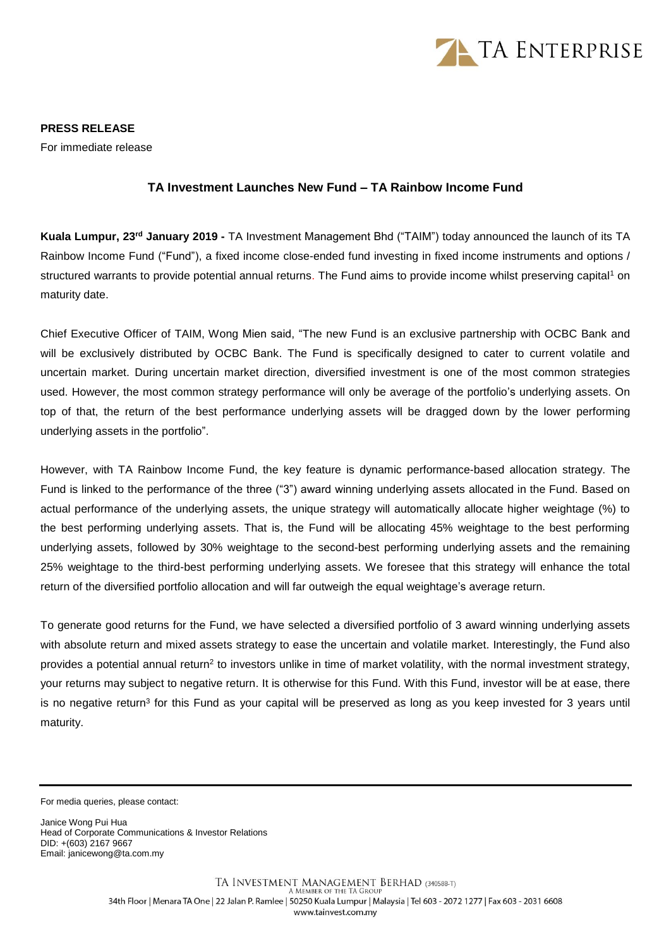

**PRESS RELEASE** For immediate release

## **TA Investment Launches New Fund – TA Rainbow Income Fund**

**Kuala Lumpur, 23 rd January 2019 -** TA Investment Management Bhd ("TAIM") today announced the launch of its TA Rainbow Income Fund ("Fund"), a fixed income close-ended fund investing in fixed income instruments and options / structured warrants to provide potential annual returns. The Fund aims to provide income whilst preserving capital<sup>1</sup> on maturity date.

Chief Executive Officer of TAIM, Wong Mien said, "The new Fund is an exclusive partnership with OCBC Bank and will be exclusively distributed by OCBC Bank. The Fund is specifically designed to cater to current volatile and uncertain market. During uncertain market direction, diversified investment is one of the most common strategies used. However, the most common strategy performance will only be average of the portfolio's underlying assets. On top of that, the return of the best performance underlying assets will be dragged down by the lower performing underlying assets in the portfolio".

However, with TA Rainbow Income Fund, the key feature is dynamic performance-based allocation strategy. The Fund is linked to the performance of the three ("3") award winning underlying assets allocated in the Fund. Based on actual performance of the underlying assets, the unique strategy will automatically allocate higher weightage (%) to the best performing underlying assets. That is, the Fund will be allocating 45% weightage to the best performing underlying assets, followed by 30% weightage to the second-best performing underlying assets and the remaining 25% weightage to the third-best performing underlying assets. We foresee that this strategy will enhance the total return of the diversified portfolio allocation and will far outweigh the equal weightage's average return.

To generate good returns for the Fund, we have selected a diversified portfolio of 3 award winning underlying assets with absolute return and mixed assets strategy to ease the uncertain and volatile market. Interestingly, the Fund also provides a potential annual return<sup>2</sup> to investors unlike in time of market volatility, with the normal investment strategy, your returns may subject to negative return. It is otherwise for this Fund. With this Fund, investor will be at ease, there is no negative return<sup>3</sup> for this Fund as your capital will be preserved as long as you keep invested for 3 years until maturity.

For media queries, please contact:

Janice Wong Pui Hua Head of Corporate Communications & Investor Relations DID: +(603) 2167 9667 Email: janicewong@ta.com.my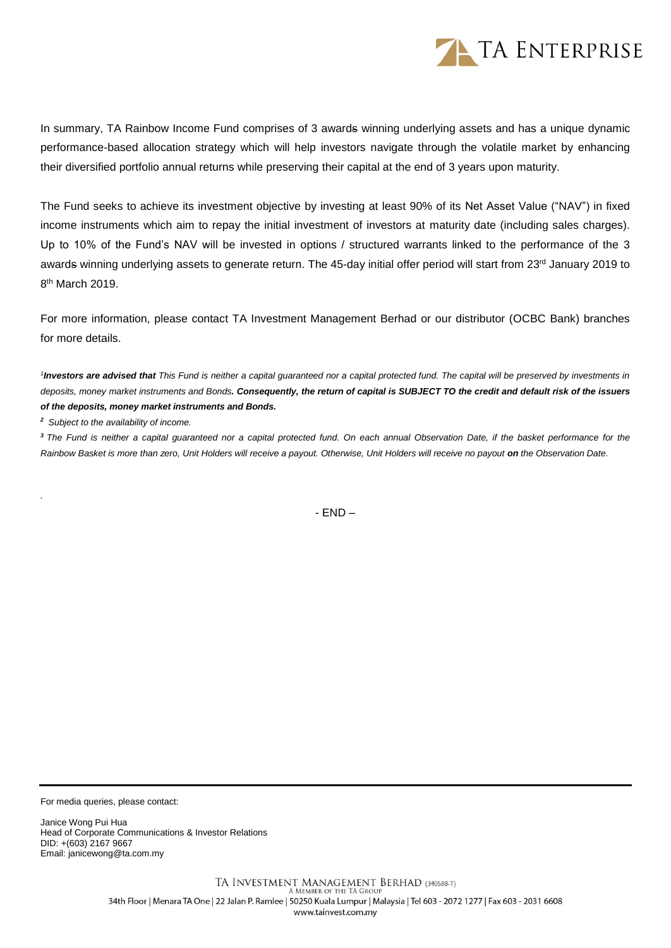

In summary, TA Rainbow Income Fund comprises of 3 awards winning underlying assets and has a unique dynamic performance-based allocation strategy which will help investors navigate through the volatile market by enhancing their diversified portfolio annual returns while preserving their capital at the end of 3 years upon maturity.

The Fund seeks to achieve its investment objective by investing at least 90% of its Net Asset Value ("NAV") in fixed income instruments which aim to repay the initial investment of investors at maturity date (including sales charges). Up to 10% of the Fund's NAV will be invested in options / structured warrants linked to the performance of the 3 awards winning underlying assets to generate return. The 45-day initial offer period will start from 23rd January 2019 to 8<sup>th</sup> March 2019.

For more information, please contact TA Investment Management Berhad or our distributor (OCBC Bank) branches for more details.

<sup>1</sup>Investors are advised that This Fund is neither a capital guaranteed nor a capital protected fund. The capital will be preserved by investments in *deposits, money market instruments and Bonds. Consequently, the return of capital is SUBJECT TO the credit and default risk of the issuers of the deposits, money market instruments and Bonds.* 

*<sup>2</sup>Subject to the availability of income.*

*.*

*<sup>3</sup> The Fund is neither a capital guaranteed nor a capital protected fund. On each annual Observation Date, if the basket performance for the Rainbow Basket is more than zero, Unit Holders will receive a payout. Otherwise, Unit Holders will receive no payout on the Observation Date.*

- END –

For media queries, please contact:

Janice Wong Pui Hua Head of Corporate Communications & Investor Relations DID: +(603) 2167 9667 Email: janicewong@ta.com.my